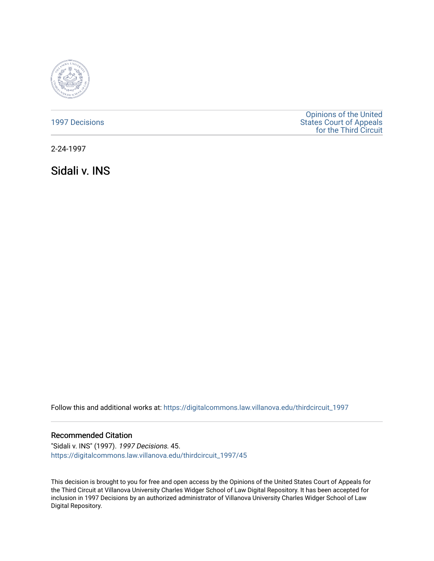

|  |  |  |  | <b>1997 Decisions</b> |  |
|--|--|--|--|-----------------------|--|
|  |  |  |  |                       |  |

[Opinions of the United](https://digitalcommons.law.villanova.edu/thirdcircuit)  [States Court of Appeals](https://digitalcommons.law.villanova.edu/thirdcircuit)  [for the Third Circuit](https://digitalcommons.law.villanova.edu/thirdcircuit) 

2-24-1997

Sidali v. INS

Follow this and additional works at: [https://digitalcommons.law.villanova.edu/thirdcircuit\\_1997](https://digitalcommons.law.villanova.edu/thirdcircuit_1997?utm_source=digitalcommons.law.villanova.edu%2Fthirdcircuit_1997%2F45&utm_medium=PDF&utm_campaign=PDFCoverPages) 

# Recommended Citation

"Sidali v. INS" (1997). 1997 Decisions. 45. [https://digitalcommons.law.villanova.edu/thirdcircuit\\_1997/45](https://digitalcommons.law.villanova.edu/thirdcircuit_1997/45?utm_source=digitalcommons.law.villanova.edu%2Fthirdcircuit_1997%2F45&utm_medium=PDF&utm_campaign=PDFCoverPages)

This decision is brought to you for free and open access by the Opinions of the United States Court of Appeals for the Third Circuit at Villanova University Charles Widger School of Law Digital Repository. It has been accepted for inclusion in 1997 Decisions by an authorized administrator of Villanova University Charles Widger School of Law Digital Repository.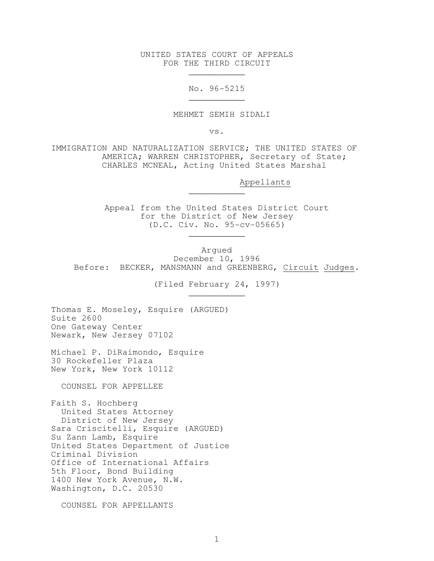UNITED STATES COURT OF APPEALS FOR THE THIRD CIRCUIT

No. 96-5215

MEHMET SEMIH SIDALI

vs.

IMMIGRATION AND NATURALIZATION SERVICE; THE UNITED STATES OF AMERICA; WARREN CHRISTOPHER, Secretary of State; CHARLES MCNEAL, Acting United States Marshal

Appellants

 Appeal from the United States District Court for the District of New Jersey (D.C. Civ. No. 95-cv-05665)  $\mathcal{L}_\text{max}$  and  $\mathcal{L}_\text{max}$  and  $\mathcal{L}_\text{max}$  and  $\mathcal{L}_\text{max}$  and  $\mathcal{L}_\text{max}$ 

Argued December 10, 1996 Before: BECKER, MANSMANN and GREENBERG, Circuit Judges.

(Filed February 24, 1997)

Thomas E. Moseley, Esquire (ARGUED) Suite 2600 One Gateway Center Newark, New Jersey 07102

 $\mathcal{L}_\text{max}$  and  $\mathcal{L}_\text{max}$  and  $\mathcal{L}_\text{max}$  and  $\mathcal{L}_\text{max}$  and  $\mathcal{L}_\text{max}$ 

 $\mathcal{L}_\text{max}$  and  $\mathcal{L}_\text{max}$  and  $\mathcal{L}_\text{max}$  and  $\mathcal{L}_\text{max}$  and  $\mathcal{L}_\text{max}$ 

 $\mathcal{L}_\text{max}$  and  $\mathcal{L}_\text{max}$  and  $\mathcal{L}_\text{max}$  and  $\mathcal{L}_\text{max}$  and  $\mathcal{L}_\text{max}$ 

 $\overline{\phantom{a}}$  , and the set of the set of the set of the set of the set of the set of the set of the set of the set of the set of the set of the set of the set of the set of the set of the set of the set of the set of the s

Michael P. DiRaimondo, Esquire 30 Rockefeller Plaza New York, New York 10112

COUNSEL FOR APPELLEE

Faith S. Hochberg United States Attorney District of New Jersey Sara Criscitelli, Esquire (ARGUED) Su Zann Lamb, Esquire United States Department of Justice Criminal Division Office of International Affairs 5th Floor, Bond Building 1400 New York Avenue, N.W. Washington, D.C. 20530

COUNSEL FOR APPELLANTS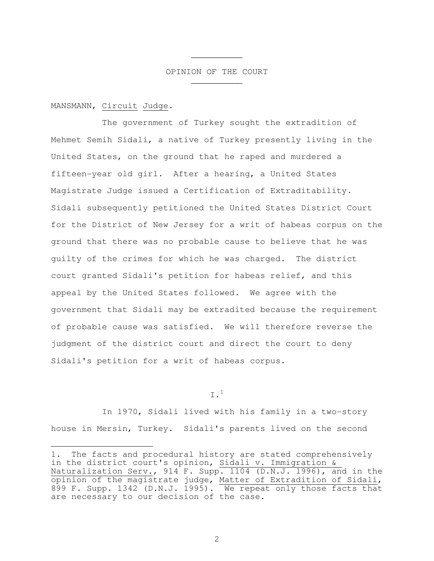### OPINION OF THE COURT

MANSMANN, Circuit Judge.

÷,

 $\mathcal{L}_\text{max}$  and  $\mathcal{L}_\text{max}$  and  $\mathcal{L}_\text{max}$  and  $\mathcal{L}_\text{max}$ 

 $\mathcal{L}_\text{max}$  and  $\mathcal{L}_\text{max}$  and  $\mathcal{L}_\text{max}$  and  $\mathcal{L}_\text{max}$ 

 The government of Turkey sought the extradition of Mehmet Semih Sidali, a native of Turkey presently living in the United States, on the ground that he raped and murdered a fifteen-year old girl. After a hearing, a United States Magistrate Judge issued a Certification of Extraditability. Sidali subsequently petitioned the United States District Court for the District of New Jersey for a writ of habeas corpus on the ground that there was no probable cause to believe that he was guilty of the crimes for which he was charged. The district court granted Sidali's petition for habeas relief, and this appeal by the United States followed. We agree with the government that Sidali may be extradited because the requirement of probable cause was satisfied. We will therefore reverse the judgment of the district court and direct the court to deny Sidali's petition for a writ of habeas corpus.

 $I<sup>1</sup>$ 

 In 1970, Sidali lived with his family in a two-story house in Mersin, Turkey. Sidali's parents lived on the second

<sup>1.</sup> The facts and procedural history are stated comprehensively in the district court's opinion, Sidali v. Immigration & Naturalization Serv., 914 F. Supp. 1104 (D.N.J. 1996), and in the opinion of the magistrate judge, Matter of Extradition of Sidali, 899 F. Supp. 1342 (D.N.J. 1995). We repeat only those facts that are necessary to our decision of the case.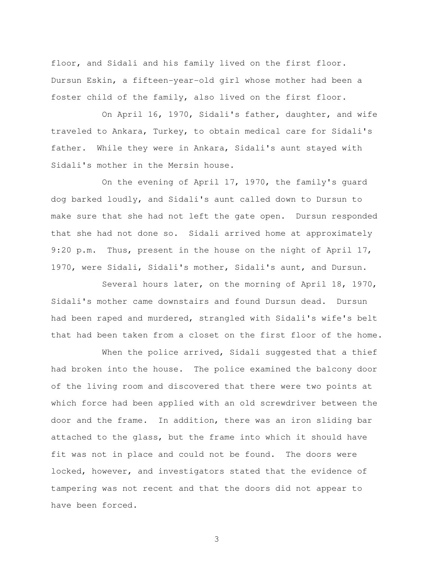floor, and Sidali and his family lived on the first floor. Dursun Eskin, a fifteen-year-old girl whose mother had been a foster child of the family, also lived on the first floor.

 On April 16, 1970, Sidali's father, daughter, and wife traveled to Ankara, Turkey, to obtain medical care for Sidali's father. While they were in Ankara, Sidali's aunt stayed with Sidali's mother in the Mersin house.

 On the evening of April 17, 1970, the family's guard dog barked loudly, and Sidali's aunt called down to Dursun to make sure that she had not left the gate open. Dursun responded that she had not done so. Sidali arrived home at approximately 9:20 p.m. Thus, present in the house on the night of April 17, 1970, were Sidali, Sidali's mother, Sidali's aunt, and Dursun.

 Several hours later, on the morning of April 18, 1970, Sidali's mother came downstairs and found Dursun dead. Dursun had been raped and murdered, strangled with Sidali's wife's belt that had been taken from a closet on the first floor of the home.

When the police arrived, Sidali suggested that a thief had broken into the house. The police examined the balcony door of the living room and discovered that there were two points at which force had been applied with an old screwdriver between the door and the frame. In addition, there was an iron sliding bar attached to the glass, but the frame into which it should have fit was not in place and could not be found. The doors were locked, however, and investigators stated that the evidence of tampering was not recent and that the doors did not appear to have been forced.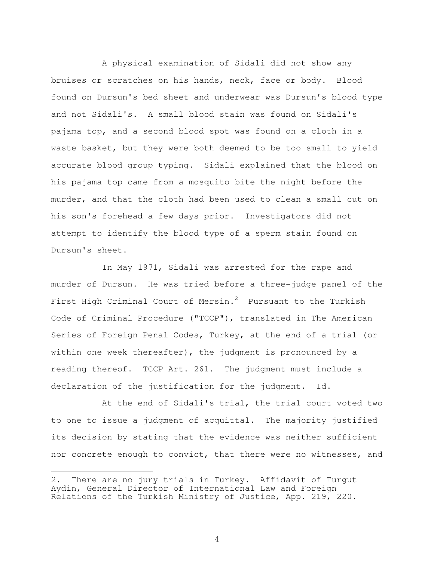A physical examination of Sidali did not show any bruises or scratches on his hands, neck, face or body. Blood found on Dursun's bed sheet and underwear was Dursun's blood type and not Sidali's. A small blood stain was found on Sidali's pajama top, and a second blood spot was found on a cloth in a waste basket, but they were both deemed to be too small to yield accurate blood group typing. Sidali explained that the blood on his pajama top came from a mosquito bite the night before the murder, and that the cloth had been used to clean a small cut on his son's forehead a few days prior. Investigators did not attempt to identify the blood type of a sperm stain found on Dursun's sheet.

 In May 1971, Sidali was arrested for the rape and murder of Dursun. He was tried before a three-judge panel of the First High Criminal Court of Mersin.<sup>2</sup> Pursuant to the Turkish Code of Criminal Procedure ("TCCP"), translated in The American Series of Foreign Penal Codes, Turkey, at the end of a trial (or within one week thereafter), the judgment is pronounced by a reading thereof. TCCP Art. 261. The judgment must include a declaration of the justification for the judgment. Id.

 At the end of Sidali's trial, the trial court voted two to one to issue a judgment of acquittal. The majority justified its decision by stating that the evidence was neither sufficient nor concrete enough to convict, that there were no witnesses, and

<sup>2.</sup> There are no jury trials in Turkey. Affidavit of Turgut Aydin, General Director of International Law and Foreign Relations of the Turkish Ministry of Justice, App. 219, 220.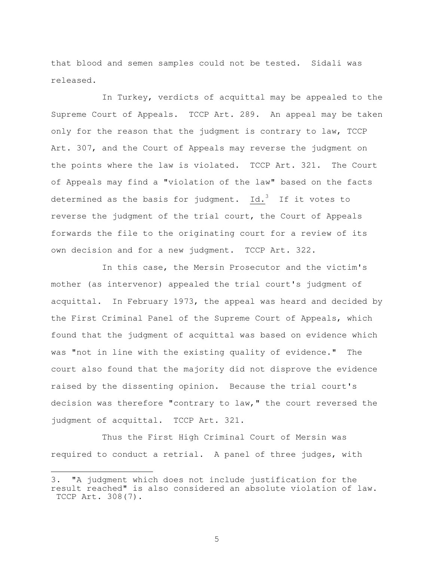that blood and semen samples could not be tested. Sidali was released.

 In Turkey, verdicts of acquittal may be appealed to the Supreme Court of Appeals. TCCP Art. 289. An appeal may be taken only for the reason that the judgment is contrary to law, TCCP Art. 307, and the Court of Appeals may reverse the judgment on the points where the law is violated. TCCP Art. 321. The Court of Appeals may find a "violation of the law" based on the facts determined as the basis for judgment. Id.<sup>3</sup> If it votes to reverse the judgment of the trial court, the Court of Appeals forwards the file to the originating court for a review of its own decision and for a new judgment. TCCP Art. 322.

 In this case, the Mersin Prosecutor and the victim's mother (as intervenor) appealed the trial court's judgment of acquittal. In February 1973, the appeal was heard and decided by the First Criminal Panel of the Supreme Court of Appeals, which found that the judgment of acquittal was based on evidence which was "not in line with the existing quality of evidence." The court also found that the majority did not disprove the evidence raised by the dissenting opinion. Because the trial court's decision was therefore "contrary to law," the court reversed the judgment of acquittal. TCCP Art. 321.

 Thus the First High Criminal Court of Mersin was required to conduct a retrial. A panel of three judges, with

÷,

<sup>3. &</sup>quot;A judgment which does not include justification for the result reached" is also considered an absolute violation of law. TCCP Art. 308(7).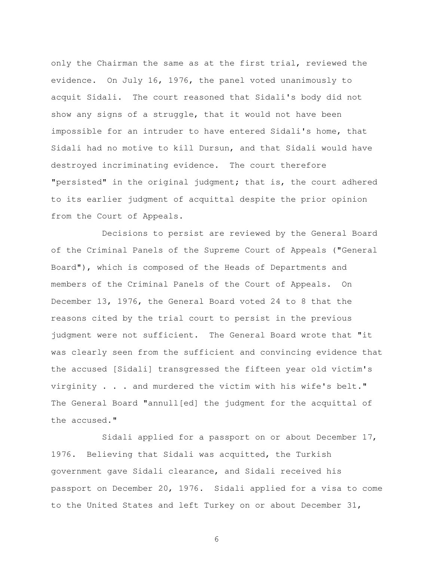only the Chairman the same as at the first trial, reviewed the evidence. On July 16, 1976, the panel voted unanimously to acquit Sidali. The court reasoned that Sidali's body did not show any signs of a struggle, that it would not have been impossible for an intruder to have entered Sidali's home, that Sidali had no motive to kill Dursun, and that Sidali would have destroyed incriminating evidence. The court therefore "persisted" in the original judgment; that is, the court adhered to its earlier judgment of acquittal despite the prior opinion from the Court of Appeals.

 Decisions to persist are reviewed by the General Board of the Criminal Panels of the Supreme Court of Appeals ("General Board"), which is composed of the Heads of Departments and members of the Criminal Panels of the Court of Appeals. On December 13, 1976, the General Board voted 24 to 8 that the reasons cited by the trial court to persist in the previous judgment were not sufficient. The General Board wrote that "it was clearly seen from the sufficient and convincing evidence that the accused [Sidali] transgressed the fifteen year old victim's virginity . . . and murdered the victim with his wife's belt." The General Board "annull[ed] the judgment for the acquittal of the accused."

 Sidali applied for a passport on or about December 17, 1976. Believing that Sidali was acquitted, the Turkish government gave Sidali clearance, and Sidali received his passport on December 20, 1976. Sidali applied for a visa to come to the United States and left Turkey on or about December 31,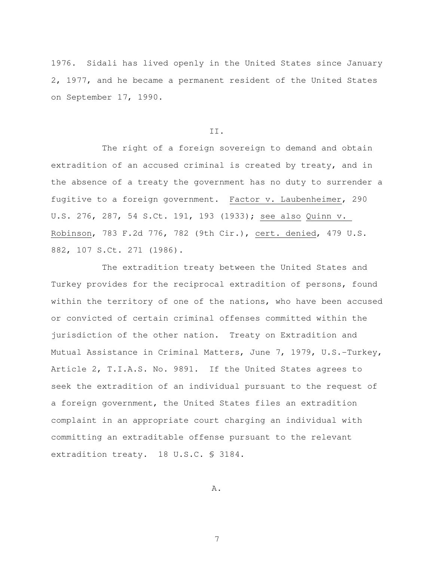1976. Sidali has lived openly in the United States since January 2, 1977, and he became a permanent resident of the United States on September 17, 1990.

#### II.

 The right of a foreign sovereign to demand and obtain extradition of an accused criminal is created by treaty, and in the absence of a treaty the government has no duty to surrender a fugitive to a foreign government. Factor v. Laubenheimer, 290 U.S. 276, 287, 54 S.Ct. 191, 193 (1933); see also Quinn v. Robinson, 783 F.2d 776, 782 (9th Cir.), cert. denied, 479 U.S. 882, 107 S.Ct. 271 (1986).

 The extradition treaty between the United States and Turkey provides for the reciprocal extradition of persons, found within the territory of one of the nations, who have been accused or convicted of certain criminal offenses committed within the jurisdiction of the other nation. Treaty on Extradition and Mutual Assistance in Criminal Matters, June 7, 1979, U.S.-Turkey, Article 2, T.I.A.S. No. 9891. If the United States agrees to seek the extradition of an individual pursuant to the request of a foreign government, the United States files an extradition complaint in an appropriate court charging an individual with committing an extraditable offense pursuant to the relevant extradition treaty. 18 U.S.C. § 3184.

A.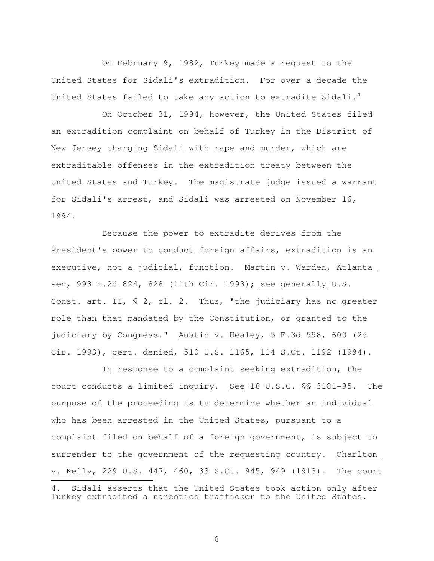On February 9, 1982, Turkey made a request to the United States for Sidali's extradition. For over a decade the United States failed to take any action to extradite Sidali. $<sup>4</sup>$ </sup>

 On October 31, 1994, however, the United States filed an extradition complaint on behalf of Turkey in the District of New Jersey charging Sidali with rape and murder, which are extraditable offenses in the extradition treaty between the United States and Turkey. The magistrate judge issued a warrant for Sidali's arrest, and Sidali was arrested on November 16, 1994.

 Because the power to extradite derives from the President's power to conduct foreign affairs, extradition is an executive, not a judicial, function. Martin v. Warden, Atlanta Pen, 993 F.2d 824, 828 (11th Cir. 1993); see generally U.S. Const. art. II, § 2, cl. 2. Thus, "the judiciary has no greater role than that mandated by the Constitution, or granted to the judiciary by Congress." Austin v. Healey, 5 F.3d 598, 600 (2d Cir. 1993), cert. denied, 510 U.S. 1165, 114 S.Ct. 1192 (1994).

 In response to a complaint seeking extradition, the court conducts a limited inquiry. See 18 U.S.C. §§ 3181-95. The purpose of the proceeding is to determine whether an individual who has been arrested in the United States, pursuant to a complaint filed on behalf of a foreign government, is subject to surrender to the government of the requesting country. Charlton v. Kelly, 229 U.S. 447, 460, 33 S.Ct. 945, 949 (1913). The court 

<sup>4.</sup> Sidali asserts that the United States took action only after Turkey extradited a narcotics trafficker to the United States.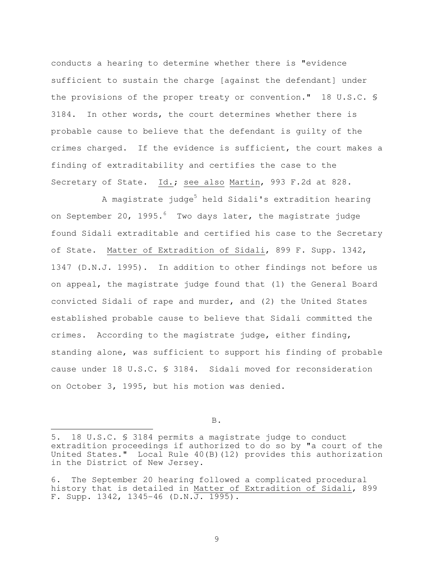conducts a hearing to determine whether there is "evidence sufficient to sustain the charge [against the defendant] under the provisions of the proper treaty or convention." 18 U.S.C. § 3184. In other words, the court determines whether there is probable cause to believe that the defendant is guilty of the crimes charged. If the evidence is sufficient, the court makes a finding of extraditability and certifies the case to the Secretary of State. Id.; see also Martin, 993 F.2d at 828.

A magistrate judge<sup>5</sup> held Sidali's extradition hearing on September 20, 1995. $^6$  Two days later, the magistrate judge found Sidali extraditable and certified his case to the Secretary of State. Matter of Extradition of Sidali, 899 F. Supp. 1342, 1347 (D.N.J. 1995). In addition to other findings not before us on appeal, the magistrate judge found that (1) the General Board convicted Sidali of rape and murder, and (2) the United States established probable cause to believe that Sidali committed the crimes. According to the magistrate judge, either finding, standing alone, was sufficient to support his finding of probable cause under 18 U.S.C. § 3184. Sidali moved for reconsideration on October 3, 1995, but his motion was denied.

B.

<sup>5. 18</sup> U.S.C. § 3184 permits a magistrate judge to conduct extradition proceedings if authorized to do so by "a court of the United States." Local Rule 40(B)(12) provides this authorization in the District of New Jersey.

<sup>6.</sup> The September 20 hearing followed a complicated procedural history that is detailed in Matter of Extradition of Sidali, 899 F. Supp.  $1342$ ,  $1345-46$  (D.N.J. 1995).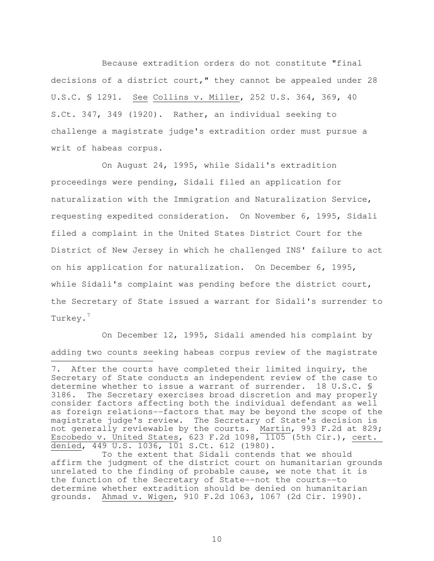Because extradition orders do not constitute "final decisions of a district court," they cannot be appealed under 28 U.S.C. § 1291. See Collins v. Miller, 252 U.S. 364, 369, 40 S.Ct. 347, 349 (1920). Rather, an individual seeking to challenge a magistrate judge's extradition order must pursue a writ of habeas corpus.

 On August 24, 1995, while Sidali's extradition proceedings were pending, Sidali filed an application for naturalization with the Immigration and Naturalization Service, requesting expedited consideration. On November 6, 1995, Sidali filed a complaint in the United States District Court for the District of New Jersey in which he challenged INS' failure to act on his application for naturalization. On December 6, 1995, while Sidali's complaint was pending before the district court, the Secretary of State issued a warrant for Sidali's surrender to Turkey.<sup>7</sup>

 On December 12, 1995, Sidali amended his complaint by adding two counts seeking habeas corpus review of the magistrate

÷,

 To the extent that Sidali contends that we should affirm the judgment of the district court on humanitarian grounds unrelated to the finding of probable cause, we note that it is the function of the Secretary of State--not the courts--to determine whether extradition should be denied on humanitarian grounds. Ahmad v. Wigen, 910 F.2d 1063, 1067 (2d Cir. 1990).

<sup>7.</sup> After the courts have completed their limited inquiry, the Secretary of State conducts an independent review of the case to determine whether to issue a warrant of surrender. 18 U.S.C. § 3186. The Secretary exercises broad discretion and may properly consider factors affecting both the individual defendant as well as foreign relations--factors that may be beyond the scope of the magistrate judge's review. The Secretary of State's decision is not generally reviewable by the courts. Martin, 993 F.2d at 829; Escobedo v. United States, 623 F.2d 1098,  $1105$  (5th Cir.), cert. denied, 449 U.S. 1036, 101 S.Ct. 612 (1980).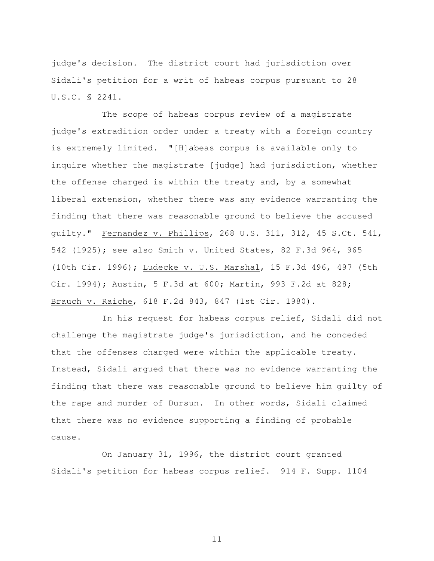judge's decision. The district court had jurisdiction over Sidali's petition for a writ of habeas corpus pursuant to 28 U.S.C. § 2241.

 The scope of habeas corpus review of a magistrate judge's extradition order under a treaty with a foreign country is extremely limited. "[H]abeas corpus is available only to inquire whether the magistrate [judge] had jurisdiction, whether the offense charged is within the treaty and, by a somewhat liberal extension, whether there was any evidence warranting the finding that there was reasonable ground to believe the accused guilty." Fernandez v. Phillips, 268 U.S. 311, 312, 45 S.Ct. 541, 542 (1925); see also Smith v. United States, 82 F.3d 964, 965 (10th Cir. 1996); Ludecke v. U.S. Marshal, 15 F.3d 496, 497 (5th Cir. 1994); Austin, 5 F.3d at 600; Martin, 993 F.2d at 828; Brauch v. Raiche, 618 F.2d 843, 847 (1st Cir. 1980).

 In his request for habeas corpus relief, Sidali did not challenge the magistrate judge's jurisdiction, and he conceded that the offenses charged were within the applicable treaty. Instead, Sidali argued that there was no evidence warranting the finding that there was reasonable ground to believe him guilty of the rape and murder of Dursun. In other words, Sidali claimed that there was no evidence supporting a finding of probable cause.

 On January 31, 1996, the district court granted Sidali's petition for habeas corpus relief. 914 F. Supp. 1104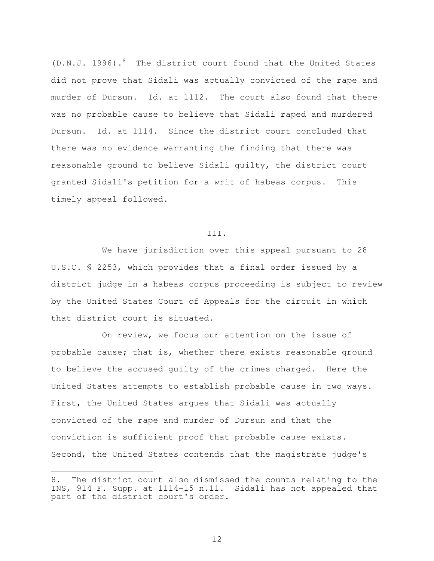$(D.N.J. 1996).$ <sup>8</sup> The district court found that the United States did not prove that Sidali was actually convicted of the rape and murder of Dursun. Id. at 1112. The court also found that there was no probable cause to believe that Sidali raped and murdered Dursun. Id. at 1114. Since the district court concluded that there was no evidence warranting the finding that there was reasonable ground to believe Sidali guilty, the district court granted Sidali's petition for a writ of habeas corpus. This timely appeal followed.

#### III.

 We have jurisdiction over this appeal pursuant to 28 U.S.C. § 2253, which provides that a final order issued by a district judge in a habeas corpus proceeding is subject to review by the United States Court of Appeals for the circuit in which that district court is situated.

 On review, we focus our attention on the issue of probable cause; that is, whether there exists reasonable ground to believe the accused guilty of the crimes charged. Here the United States attempts to establish probable cause in two ways. First, the United States argues that Sidali was actually convicted of the rape and murder of Dursun and that the conviction is sufficient proof that probable cause exists. Second, the United States contends that the magistrate judge's

÷,

<sup>8.</sup> The district court also dismissed the counts relating to the INS, 914 F. Supp. at 1114-15 n.11. Sidali has not appealed that part of the district court's order.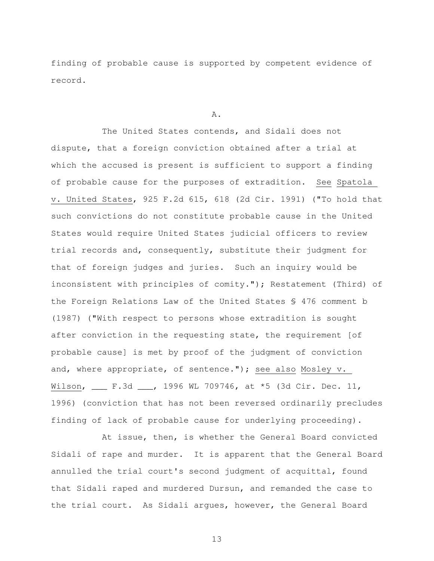finding of probable cause is supported by competent evidence of record.

#### A.

 The United States contends, and Sidali does not dispute, that a foreign conviction obtained after a trial at which the accused is present is sufficient to support a finding of probable cause for the purposes of extradition. See Spatola v. United States, 925 F.2d 615, 618 (2d Cir. 1991) ("To hold that such convictions do not constitute probable cause in the United States would require United States judicial officers to review trial records and, consequently, substitute their judgment for that of foreign judges and juries. Such an inquiry would be inconsistent with principles of comity."); Restatement (Third) of the Foreign Relations Law of the United States § 476 comment b (1987) ("With respect to persons whose extradition is sought after conviction in the requesting state, the requirement [of probable cause] is met by proof of the judgment of conviction and, where appropriate, of sentence."); see also Mosley v. Wilson, \_\_\_ F.3d \_\_\_, 1996 WL 709746, at \*5 (3d Cir. Dec. 11, 1996) (conviction that has not been reversed ordinarily precludes finding of lack of probable cause for underlying proceeding).

 At issue, then, is whether the General Board convicted Sidali of rape and murder. It is apparent that the General Board annulled the trial court's second judgment of acquittal, found that Sidali raped and murdered Dursun, and remanded the case to the trial court. As Sidali argues, however, the General Board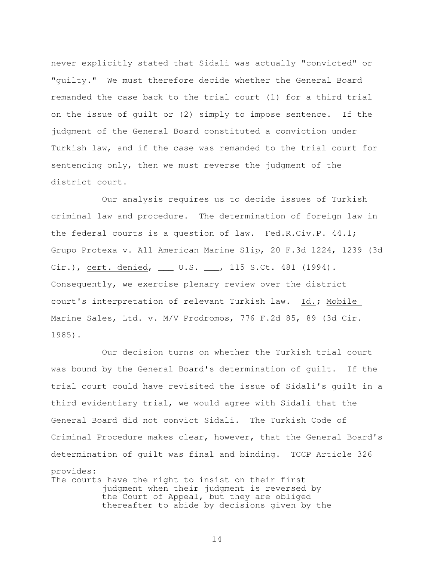never explicitly stated that Sidali was actually "convicted" or "guilty." We must therefore decide whether the General Board remanded the case back to the trial court (1) for a third trial on the issue of guilt or (2) simply to impose sentence. If the judgment of the General Board constituted a conviction under Turkish law, and if the case was remanded to the trial court for sentencing only, then we must reverse the judgment of the district court.

 Our analysis requires us to decide issues of Turkish criminal law and procedure. The determination of foreign law in the federal courts is a question of law. Fed.R.Civ.P. 44.1; Grupo Protexa v. All American Marine Slip, 20 F.3d 1224, 1239 (3d Cir.), cert. denied, \_\_\_ U.S. \_\_\_, 115 S.Ct. 481 (1994). Consequently, we exercise plenary review over the district court's interpretation of relevant Turkish law. Id.; Mobile Marine Sales, Ltd. v. M/V Prodromos, 776 F.2d 85, 89 (3d Cir. 1985).

 Our decision turns on whether the Turkish trial court was bound by the General Board's determination of guilt. If the trial court could have revisited the issue of Sidali's guilt in a third evidentiary trial, we would agree with Sidali that the General Board did not convict Sidali. The Turkish Code of Criminal Procedure makes clear, however, that the General Board's determination of guilt was final and binding. TCCP Article 326 provides: The courts have the right to insist on their first judgment when their judgment is reversed by the Court of Appeal, but they are obliged thereafter to abide by decisions given by the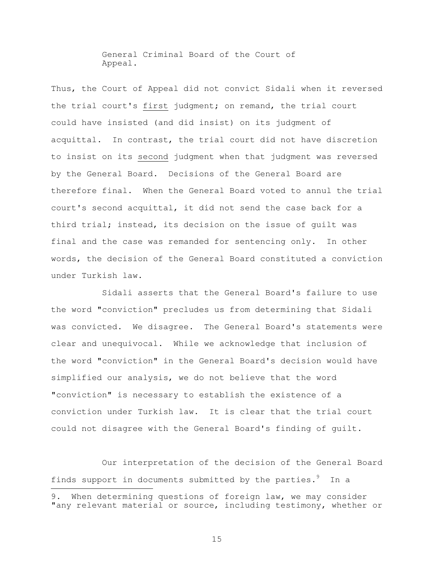General Criminal Board of the Court of Appeal.

Thus, the Court of Appeal did not convict Sidali when it reversed the trial court's first judgment; on remand, the trial court could have insisted (and did insist) on its judgment of acquittal. In contrast, the trial court did not have discretion to insist on its second judgment when that judgment was reversed by the General Board. Decisions of the General Board are therefore final. When the General Board voted to annul the trial court's second acquittal, it did not send the case back for a third trial; instead, its decision on the issue of guilt was final and the case was remanded for sentencing only. In other words, the decision of the General Board constituted a conviction under Turkish law.

 Sidali asserts that the General Board's failure to use the word "conviction" precludes us from determining that Sidali was convicted. We disagree. The General Board's statements were clear and unequivocal. While we acknowledge that inclusion of the word "conviction" in the General Board's decision would have simplified our analysis, we do not believe that the word "conviction" is necessary to establish the existence of a conviction under Turkish law. It is clear that the trial court could not disagree with the General Board's finding of guilt.

 Our interpretation of the decision of the General Board finds support in documents submitted by the parties.<sup>9</sup> In a

÷,

<sup>9.</sup> When determining questions of foreign law, we may consider "any relevant material or source, including testimony, whether or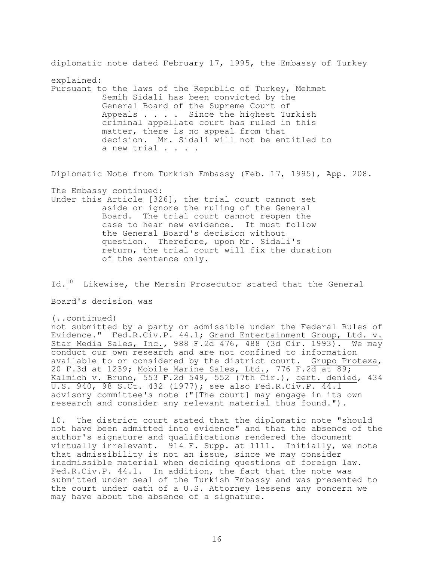diplomatic note dated February 17, 1995, the Embassy of Turkey explained: Pursuant to the laws of the Republic of Turkey, Mehmet Semih Sidali has been convicted by the General Board of the Supreme Court of Appeals . . . . Since the highest Turkish criminal appellate court has ruled in this matter, there is no appeal from that decision. Mr. Sidali will not be entitled to a new trial . . . .

Diplomatic Note from Turkish Embassy (Feb. 17, 1995), App. 208.

The Embassy continued:

Under this Article [326], the trial court cannot set aside or ignore the ruling of the General Board. The trial court cannot reopen the case to hear new evidence. It must follow the General Board's decision without question. Therefore, upon Mr. Sidali's return, the trial court will fix the duration of the sentence only.

Id.<sup>10</sup> Likewise, the Mersin Prosecutor stated that the General

Board's decision was

(..continued)

not submitted by a party or admissible under the Federal Rules of Evidence." Fed.R.Civ.P. 44.1; Grand Entertainment Group, Ltd. v. Star Media Sales, Inc., 988 F.2d 476, 488 (3d Cir. 1993). We may conduct our own research and are not confined to information available to or considered by the district court. Grupo Protexa, 20 F.3d at 1239; Mobile Marine Sales, Ltd., 776 F.2d at 89; Kalmich v. Bruno, 553 F.2d 549, 552 (7th Cir.), cert. denied, 434 U.S. 940, 98 S.Ct. 432 (1977); see also Fed.R.Civ.P. 44.1 advisory committee's note ("[The court] may engage in its own research and consider any relevant material thus found.").

10. The district court stated that the diplomatic note "should not have been admitted into evidence" and that the absence of the author's signature and qualifications rendered the document virtually irrelevant. 914 F. Supp. at 1111. Initially, we note that admissibility is not an issue, since we may consider inadmissible material when deciding questions of foreign law. Fed.R.Civ.P. 44.1. In addition, the fact that the note was submitted under seal of the Turkish Embassy and was presented to the court under oath of a U.S. Attorney lessens any concern we may have about the absence of a signature.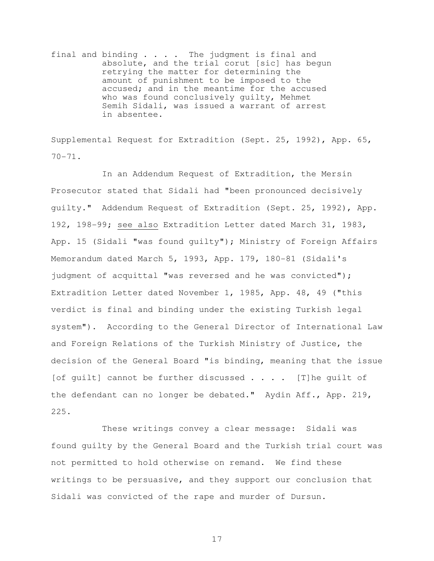final and binding . . . . The judgment is final and absolute, and the trial corut [sic] has begun retrying the matter for determining the amount of punishment to be imposed to the accused; and in the meantime for the accused who was found conclusively guilty, Mehmet Semih Sidali, was issued a warrant of arrest in absentee.

Supplemental Request for Extradition (Sept. 25, 1992), App. 65, 70-71.

 In an Addendum Request of Extradition, the Mersin Prosecutor stated that Sidali had "been pronounced decisively guilty." Addendum Request of Extradition (Sept. 25, 1992), App. 192, 198-99; see also Extradition Letter dated March 31, 1983, App. 15 (Sidali "was found guilty"); Ministry of Foreign Affairs Memorandum dated March 5, 1993, App. 179, 180-81 (Sidali's judgment of acquittal "was reversed and he was convicted"); Extradition Letter dated November 1, 1985, App. 48, 49 ("this verdict is final and binding under the existing Turkish legal system"). According to the General Director of International Law and Foreign Relations of the Turkish Ministry of Justice, the decision of the General Board "is binding, meaning that the issue [of guilt] cannot be further discussed . . . . [T]he guilt of the defendant can no longer be debated." Aydin Aff., App. 219, 225.

 These writings convey a clear message: Sidali was found guilty by the General Board and the Turkish trial court was not permitted to hold otherwise on remand. We find these writings to be persuasive, and they support our conclusion that Sidali was convicted of the rape and murder of Dursun.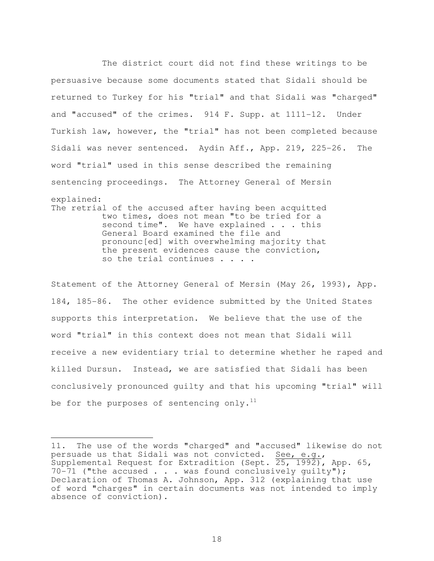The district court did not find these writings to be persuasive because some documents stated that Sidali should be returned to Turkey for his "trial" and that Sidali was "charged" and "accused" of the crimes. 914 F. Supp. at 1111-12. Under Turkish law, however, the "trial" has not been completed because Sidali was never sentenced. Aydin Aff., App. 219, 225-26. The word "trial" used in this sense described the remaining sentencing proceedings. The Attorney General of Mersin explained: The retrial of the accused after having been acquitted two times, does not mean "to be tried for a second time". We have explained . . . this General Board examined the file and pronounc[ed] with overwhelming majority that the present evidences cause the conviction, so the trial continues . . . .

Statement of the Attorney General of Mersin (May 26, 1993), App. 184, 185-86. The other evidence submitted by the United States supports this interpretation. We believe that the use of the word "trial" in this context does not mean that Sidali will receive a new evidentiary trial to determine whether he raped and killed Dursun. Instead, we are satisfied that Sidali has been conclusively pronounced guilty and that his upcoming "trial" will be for the purposes of sentencing only. $^{11}$ 

<sup>11.</sup> The use of the words "charged" and "accused" likewise do not persuade us that Sidali was not convicted. See, e.g., Supplemental Request for Extradition (Sept.  $25, 1992$ ), App. 65, 70-71 ("the accused . . . was found conclusively guilty"); Declaration of Thomas A. Johnson, App. 312 (explaining that use of word "charges" in certain documents was not intended to imply absence of conviction).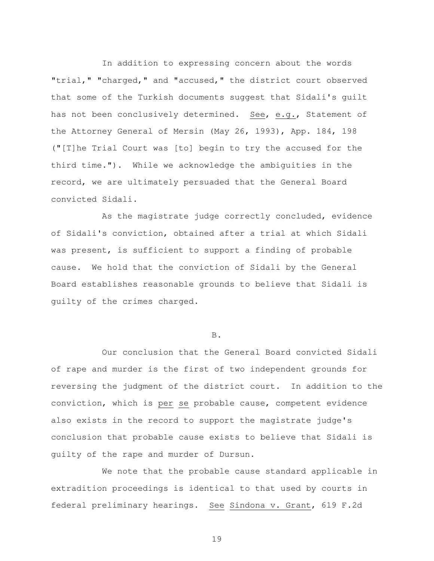In addition to expressing concern about the words "trial," "charged," and "accused," the district court observed that some of the Turkish documents suggest that Sidali's guilt has not been conclusively determined. See, e.g., Statement of the Attorney General of Mersin (May 26, 1993), App. 184, 198 ("[T]he Trial Court was [to] begin to try the accused for the third time."). While we acknowledge the ambiguities in the record, we are ultimately persuaded that the General Board convicted Sidali.

 As the magistrate judge correctly concluded, evidence of Sidali's conviction, obtained after a trial at which Sidali was present, is sufficient to support a finding of probable cause. We hold that the conviction of Sidali by the General Board establishes reasonable grounds to believe that Sidali is guilty of the crimes charged.

## B.

 Our conclusion that the General Board convicted Sidali of rape and murder is the first of two independent grounds for reversing the judgment of the district court. In addition to the conviction, which is per se probable cause, competent evidence also exists in the record to support the magistrate judge's conclusion that probable cause exists to believe that Sidali is guilty of the rape and murder of Dursun.

 We note that the probable cause standard applicable in extradition proceedings is identical to that used by courts in federal preliminary hearings. See Sindona v. Grant, 619 F.2d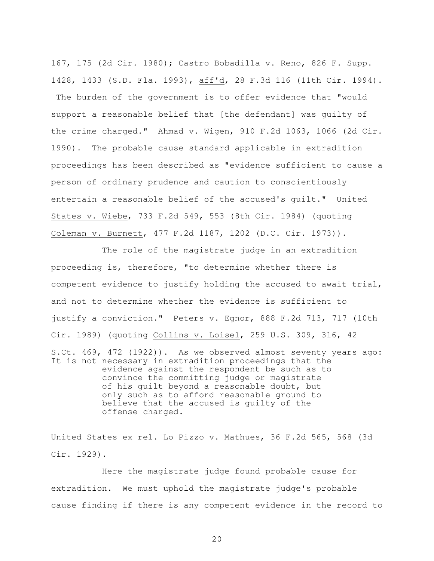167, 175 (2d Cir. 1980); Castro Bobadilla v. Reno, 826 F. Supp. 1428, 1433 (S.D. Fla. 1993), aff'd, 28 F.3d 116 (11th Cir. 1994). The burden of the government is to offer evidence that "would support a reasonable belief that [the defendant] was guilty of the crime charged." Ahmad v. Wigen, 910 F.2d 1063, 1066 (2d Cir. 1990). The probable cause standard applicable in extradition proceedings has been described as "evidence sufficient to cause a person of ordinary prudence and caution to conscientiously entertain a reasonable belief of the accused's guilt." United States v. Wiebe, 733 F.2d 549, 553 (8th Cir. 1984) (quoting Coleman v. Burnett, 477 F.2d 1187, 1202 (D.C. Cir. 1973)).

 The role of the magistrate judge in an extradition proceeding is, therefore, "to determine whether there is competent evidence to justify holding the accused to await trial, and not to determine whether the evidence is sufficient to justify a conviction." Peters v. Egnor, 888 F.2d 713, 717 (10th Cir. 1989) (quoting Collins v. Loisel, 259 U.S. 309, 316, 42 S.Ct. 469, 472 (1922)). As we observed almost seventy years ago: It is not necessary in extradition proceedings that the evidence against the respondent be such as to convince the committing judge or magistrate of his guilt beyond a reasonable doubt, but only such as to afford reasonable ground to believe that the accused is guilty of the offense charged.

United States ex rel. Lo Pizzo v. Mathues, 36 F.2d 565, 568 (3d Cir. 1929).

 Here the magistrate judge found probable cause for extradition. We must uphold the magistrate judge's probable cause finding if there is any competent evidence in the record to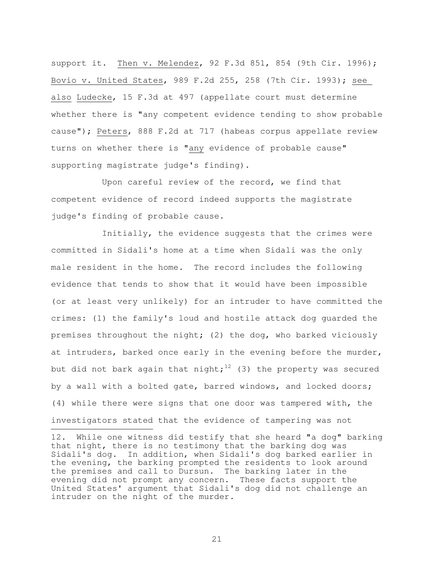support it. Then v. Melendez, 92 F.3d 851, 854 (9th Cir. 1996); Bovio v. United States, 989 F.2d 255, 258 (7th Cir. 1993); see also Ludecke, 15 F.3d at 497 (appellate court must determine whether there is "any competent evidence tending to show probable cause"); Peters, 888 F.2d at 717 (habeas corpus appellate review turns on whether there is "any evidence of probable cause" supporting magistrate judge's finding).

 Upon careful review of the record, we find that competent evidence of record indeed supports the magistrate judge's finding of probable cause.

 Initially, the evidence suggests that the crimes were committed in Sidali's home at a time when Sidali was the only male resident in the home. The record includes the following evidence that tends to show that it would have been impossible (or at least very unlikely) for an intruder to have committed the crimes: (1) the family's loud and hostile attack dog guarded the premises throughout the night; (2) the dog, who barked viciously at intruders, barked once early in the evening before the murder, but did not bark again that night;<sup>12</sup> (3) the property was secured by a wall with a bolted gate, barred windows, and locked doors; (4) while there were signs that one door was tampered with, the investigators stated that the evidence of tampering was not 

<sup>12.</sup> While one witness did testify that she heard "a dog" barking that night, there is no testimony that the barking dog was Sidali's dog. In addition, when Sidali's dog barked earlier in the evening, the barking prompted the residents to look around the premises and call to Dursun. The barking later in the evening did not prompt any concern. These facts support the United States' argument that Sidali's dog did not challenge an intruder on the night of the murder.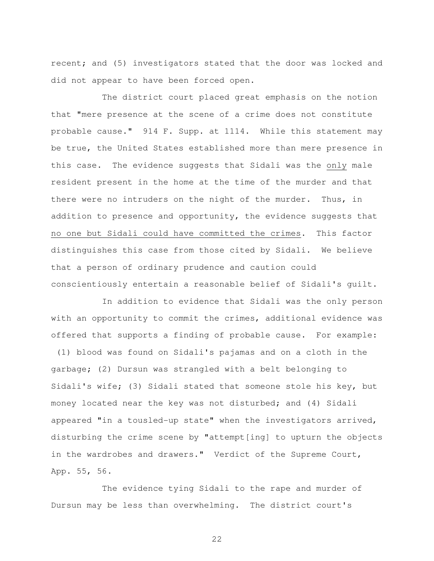recent; and (5) investigators stated that the door was locked and did not appear to have been forced open.

 The district court placed great emphasis on the notion that "mere presence at the scene of a crime does not constitute probable cause." 914 F. Supp. at 1114. While this statement may be true, the United States established more than mere presence in this case. The evidence suggests that Sidali was the only male resident present in the home at the time of the murder and that there were no intruders on the night of the murder. Thus, in addition to presence and opportunity, the evidence suggests that no one but Sidali could have committed the crimes. This factor distinguishes this case from those cited by Sidali. We believe that a person of ordinary prudence and caution could conscientiously entertain a reasonable belief of Sidali's guilt.

 In addition to evidence that Sidali was the only person with an opportunity to commit the crimes, additional evidence was offered that supports a finding of probable cause. For example: (1) blood was found on Sidali's pajamas and on a cloth in the garbage; (2) Dursun was strangled with a belt belonging to Sidali's wife; (3) Sidali stated that someone stole his key, but money located near the key was not disturbed; and (4) Sidali appeared "in a tousled-up state" when the investigators arrived, disturbing the crime scene by "attempt[ing] to upturn the objects in the wardrobes and drawers." Verdict of the Supreme Court, App. 55, 56.

 The evidence tying Sidali to the rape and murder of Dursun may be less than overwhelming. The district court's